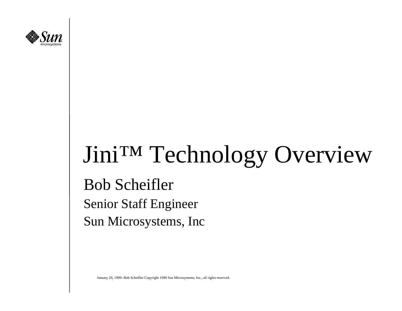

## Jini™ Technology Overview

Bob Scheifler Senior Staff Engineer Sun Microsystems, Inc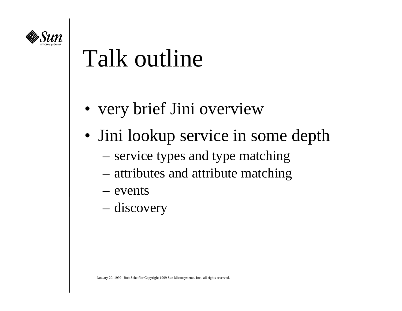

## Talk outline

- very brief Jini overview
- Jini lookup service in some depth
	- service types and type matching
	- attributes and attribute matching
	- events
	- discovery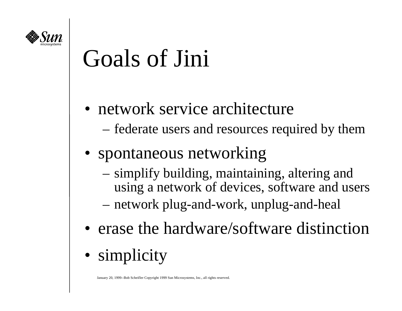

## Goals of Jini

- network service architecture
	- federate users and resources required by them
- spontaneous networking
	- simplify building, maintaining, altering and using a network of devices, software and users
	- network plug-and-work, unplug-and-heal
- erase the hardware/software distinction
- simplicity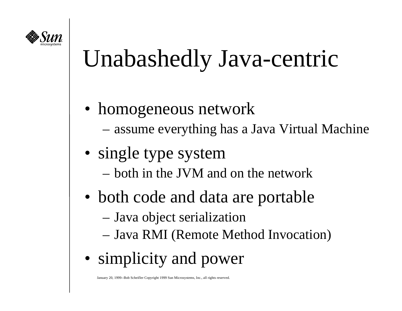

## Unabashedly Java-centric

- homogeneous network
	- assume everything has a Java Virtual Machine
- single type system
	- both in the JVM and on the network
- both code and data are portable
	- Java object serialization
	- Java RMI (Remote Method Invocation)
- simplicity and power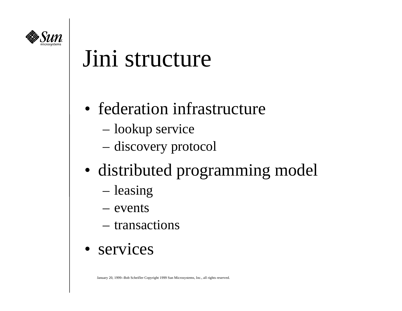

#### Jini structure

- federation infrastructure
	- lookup service
	- discovery protocol
- distributed programming model
	- leasing
	- events
	- transactions
- services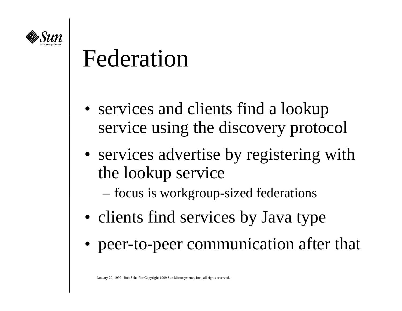

#### Federation

- services and clients find a lookup service using the discovery protocol
- services advertise by registering with the lookup service

focus is workgroup-sized federations

- clients find services by Java type
- peer-to-peer communication after that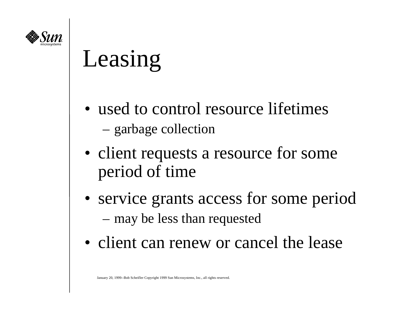

## Leasing

- used to control resource lifetimes garbage collection
- client requests a resource for some period of time
- service grants access for some period may be less than requested
- client can renew or cancel the lease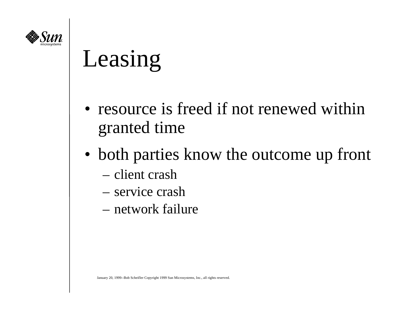

## Leasing

- resource is freed if not renewed within granted time
- both parties know the outcome up front
	- client crash
	- service crash
	- network failure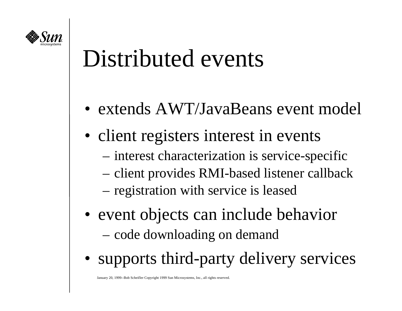

### Distributed events

- extends AWT/JavaBeans event model
- client registers interest in events
	- interest characterization is service-specific
	- client provides RMI-based listener callback
	- registration with service is leased
- event objects can include behavior code downloading on demand
- supports third-party delivery services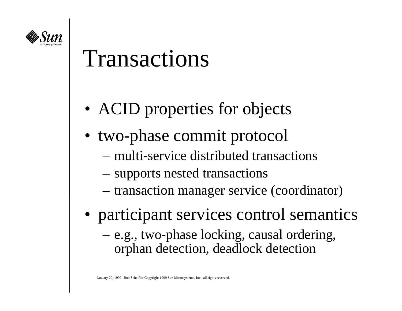

#### Transactions

- ACID properties for objects
- two-phase commit protocol
	- multi-service distributed transactions
	- supports nested transactions
	- transaction manager service (coordinator)
- participant services control semantics
	- e.g., two-phase locking, causal ordering, orphan detection, deadlock detection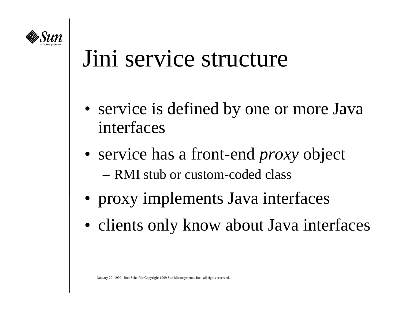

#### Jini service structure

- service is defined by one or more Java interfaces
- service has a front-end *proxy* object – RMI stub or custom-coded class
- proxy implements Java interfaces
- clients only know about Java interfaces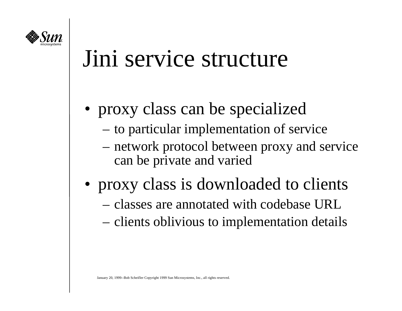

#### Jini service structure

- proxy class can be specialized
	- to particular implementation of service
	- network protocol between proxy and service can be private and varied
- proxy class is downloaded to clients
	- classes are annotated with codebase URL
	- clients oblivious to implementation details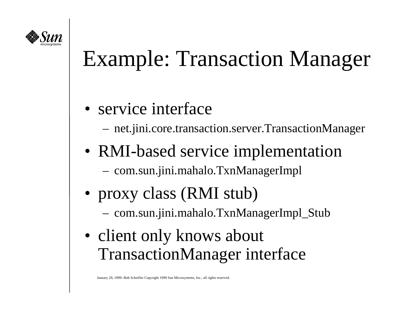

### Example: Transaction Manager

- service interface
	- net.jini.core.transaction.server.TransactionManager
- RMI-based service implementation com.sun.jini.mahalo.TxnManagerImpl
- proxy class (RMI stub) com.sun.jini.mahalo.TxnManagerImpl\_Stub
- client only knows about TransactionManager interface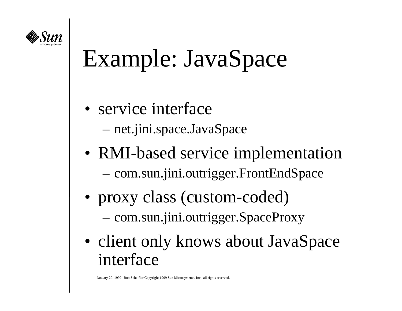

## Example: JavaSpace

- service interface
	- net.jini.space.JavaSpace
- RMI-based service implementation com.sun.jini.outrigger.FrontEndSpace
- proxy class (custom-coded) com.sun.jini.outrigger.SpaceProxy
- client only knows about JavaSpace interface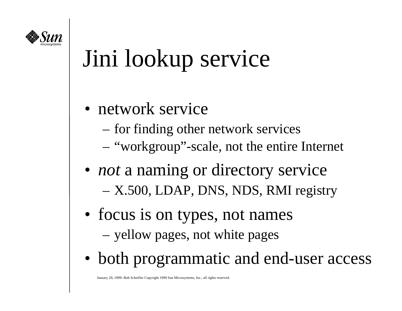

## Jini lookup service

- network service
	- for finding other network services
	- "workgroup"-scale, not the entire Internet
- *not* a naming or directory service X.500, LDAP, DNS, NDS, RMI registry
- focus is on types, not names yellow pages, not white pages
- both programmatic and end-user access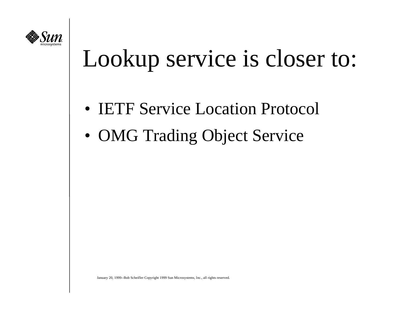

## Lookup service is closer to:

- **IETF Service Location Protocol**
- OMG Trading Object Service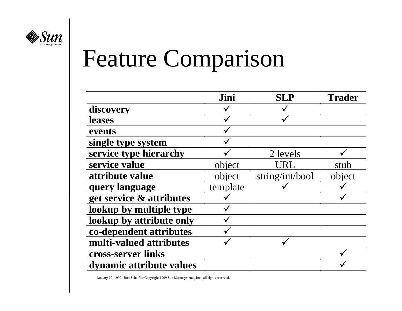

# Feature Comparison

|                          | Jini     | <b>SLP</b>      | <b>Trader</b> |
|--------------------------|----------|-----------------|---------------|
| discovery                |          |                 |               |
| <b>leases</b>            |          |                 |               |
| events                   |          |                 |               |
| single type system       |          |                 |               |
| service type hierarchy   |          | 2 levels        |               |
| service value            | object   | URL             | stub          |
| attribute value          | object   | string/int/bool | object        |
| query language           | template |                 |               |
| get service & attributes |          |                 |               |
| lookup by multiple type  |          |                 |               |
| lookup by attribute only |          |                 |               |
| co-dependent attributes  |          |                 |               |
| multi-valued attributes  |          |                 |               |
| cross-server links       |          |                 |               |
| dynamic attribute values |          |                 |               |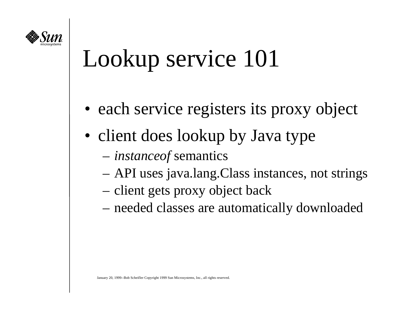

## Lookup service 101

- each service registers its proxy object
- client does lookup by Java type
	- *instanceof* semantics
	- API uses java.lang.Class instances, not strings
	- client gets proxy object back
	- needed classes are automatically downloaded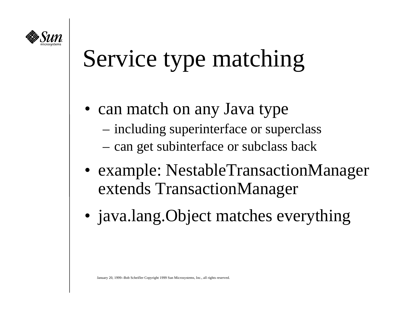

## Service type matching

- can match on any Java type
	- including superinterface or superclass
	- can get subinterface or subclass back
- example: NestableTransactionManager extends TransactionManager
- java.lang.Object matches everything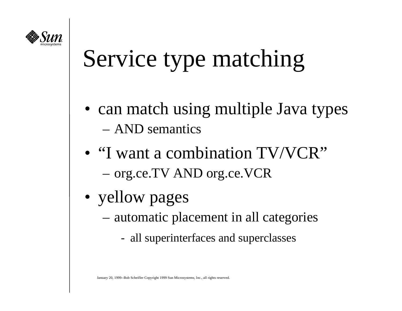

## Service type matching

- can match using multiple Java types – AND semantics
- "I want a combination TV/VCR" org.ce.TV AND org.ce.VCR
- yellow pages
	- automatic placement in all categories
		- all superinterfaces and superclasses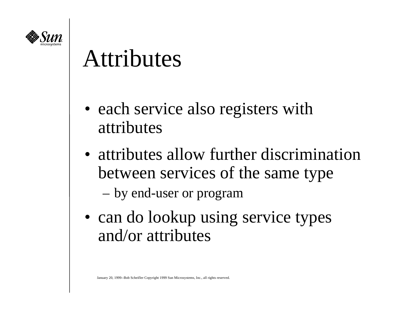

#### Attributes

- each service also registers with attributes
- attributes allow further discrimination between services of the same type

by end-user or program

• can do lookup using service types and/or attributes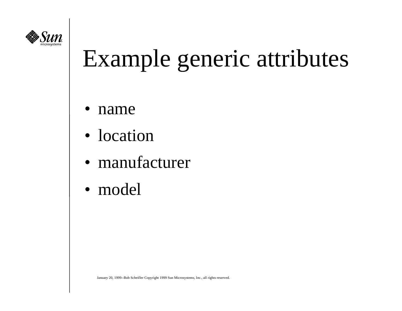

## Example generic attributes

- •name
- location
- $\bullet$ manufacturer
- model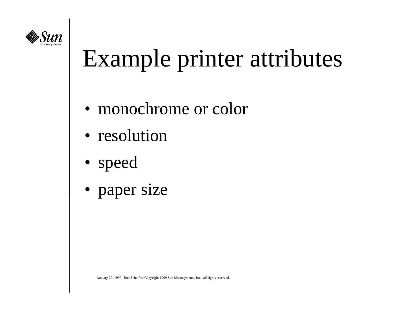

## Example printer attributes

- monochrome or color
- resolution
- speed
- paper size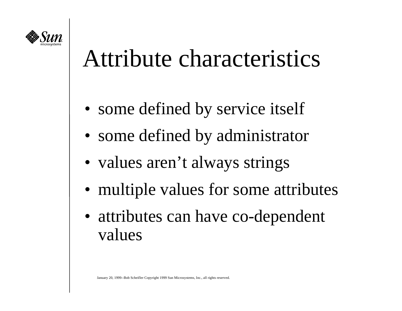

#### Attribute characteristics

- some defined by service itself
- some defined by administrator
- values aren't always strings
- multiple values for some attributes
- attributes can have co-dependent values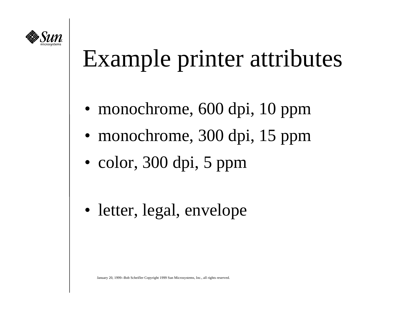

## Example printer attributes

- monochrome, 600 dpi, 10 ppm
- monochrome, 300 dpi, 15 ppm
- color, 300 dpi, 5 ppm
- letter, legal, envelope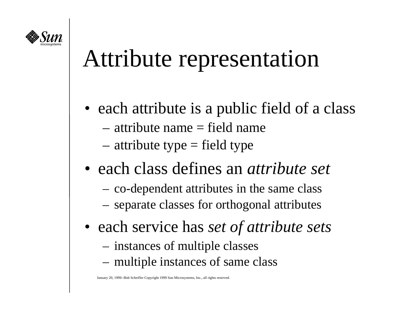

### Attribute representation

- each attribute is a public field of a class
	- attribute name = field name
	- attribute type = field type
- each class defines an *attribute set*
	- –co-dependent attributes in the same class
	- –separate classes for orthogonal attributes
- each service has *set of attribute sets*
	- instances of multiple classes
	- multiple instances of same class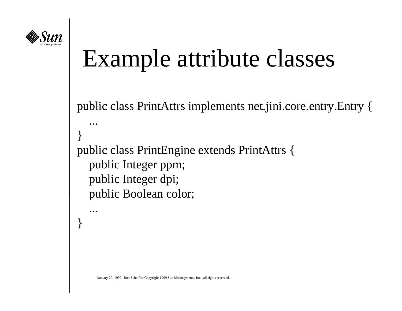

}

### Example attribute classes

```
public class PrintAttrs implements net.jini.core.entry.Entry {
 ...}
public class PrintEngine extends PrintAttrs {
   public Integer ppm;
   public Integer dpi;
   public Boolean color;
    ...
```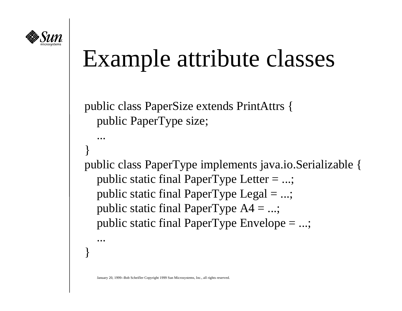

...

...

}

}

#### Example attribute classes

```
public class PaperSize extends PrintAttrs {
   public PaperType size;
```

```
public class PaperType implements java.io.Serializable {
   public static final PaperType Letter = ...;
  public static final PaperType Legal =...;
  public static final PaperType A4 = ...; public static final PaperType Envelope = ...;
```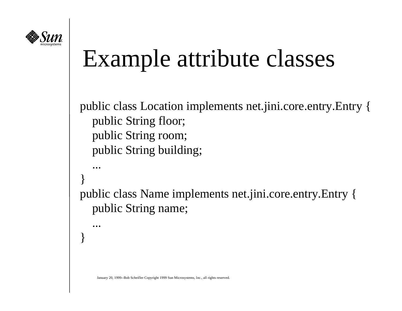

## Example attribute classes

```
public class Location implements net.jini.core.entry.Entry {
   public String floor;
   public String room;
   public String building;
    ...}
public class Name implements net.jini.core.entry.Entry {
   public String name;
    ...}
```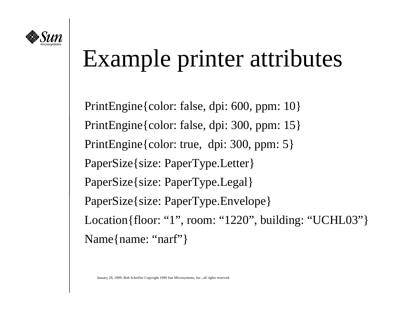

## Example printer attributes

PrintEngine{color: false, dpi: 600, ppm: 10} PrintEngine{color: false, dpi: 300, ppm: 15} PrintEngine{color: true, dpi: 300, ppm: 5} PaperSize{size: PaperType.Letter} PaperSize{size: PaperType.Legal} PaperSize{size: PaperType.Envelope} Location{floor: "1", room: "1220", building: "UCHL03"} Name{name: "narf"}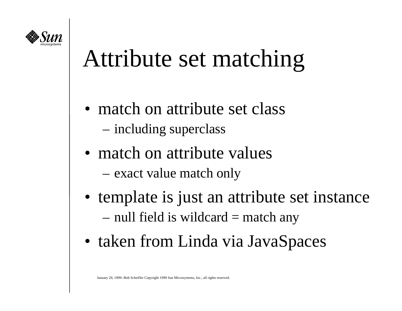

### Attribute set matching

- match on attribute set class
	- including superclass
- match on attribute values
	- exact value match only
- template is just an attribute set instance null field is wildcard = match any
- taken from Linda via JavaSpaces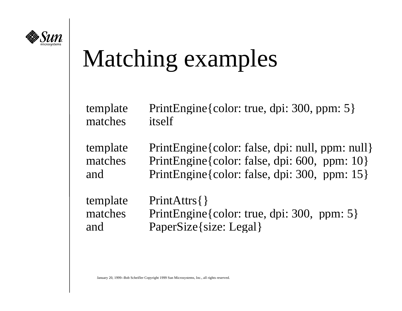

## Matching examples

| template | PrintEngine{color: true, dpi: 300, ppm: 5}      |
|----------|-------------------------------------------------|
| matches  | itself                                          |
| template | PrintEngine{color: false, dpi: null, ppm: null} |
| matches  | PrintEngine { color: false, dpi: 600, ppm: 10 } |
| and      | PrintEngine { color: false, dpi: 300, ppm: 15 } |
| template | PrintAttrs{}                                    |
| matches  | PrintEngine{color: true, dpi: 300, ppm: 5}      |
| and      | PaperSize{size: Legal}                          |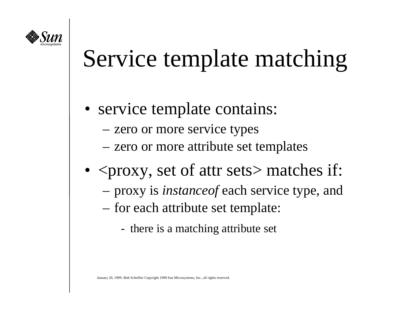

## Service template matching

- service template contains:
	- zero or more service types
	- zero or more attribute set templates
- $<$ proxy, set of attr sets $>$  matches if:
	- proxy is *instanceof* each service type, and
	- for each attribute set template:
		- there is a matching attribute set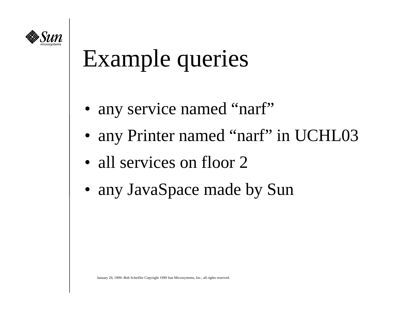

## Example queries

- any service named "narf"
- any Printer named "narf" in UCHL03
- all services on floor 2
- any JavaSpace made by Sun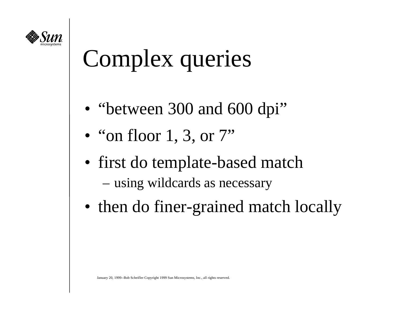

## Complex queries

- "between 300 and 600 dpi"
- $\bullet\,$  "on floor 1, 3, or 7"
- first do template-based match using wildcards as necessary
- then do finer-grained match locally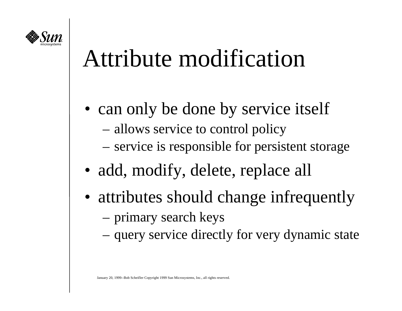

### Attribute modification

- can only be done by service itself
	- allows service to control policy
	- service is responsible for persistent storage
- add, modify, delete, replace all
- attributes should change infrequently primary search keys
	- query service directly for very dynamic state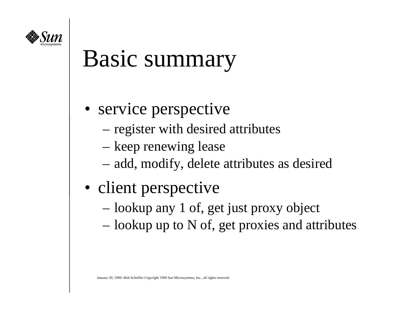

#### Basic summary

- service perspective
	- register with desired attributes
	- keep renewing lease
	- add, modify, delete attributes as desired
- client perspective
	- lookup any 1 of, get just proxy object
	- lookup up to N of, get proxies and attributes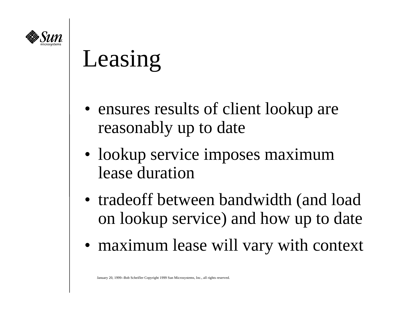

## Leasing

- ensures results of client lookup are reasonably up to date
- lookup service imposes maximum lease duration
- tradeoff between bandwidth (and load on lookup service) and how up to date
- maximum lease will vary with context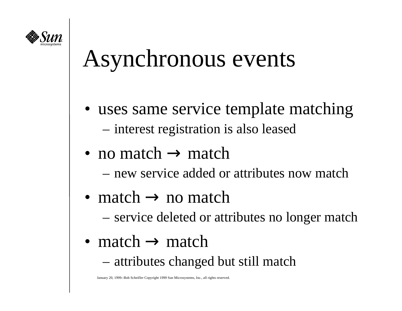

### Asynchronous events

- uses same service template matching interest registration is also leased
- no match  $\rightarrow$  match
	- new service added or attributes now match
- match  $\rightarrow$  no match
	- service deleted or attributes no longer match
- match  $\rightarrow$  match
	- attributes changed but still match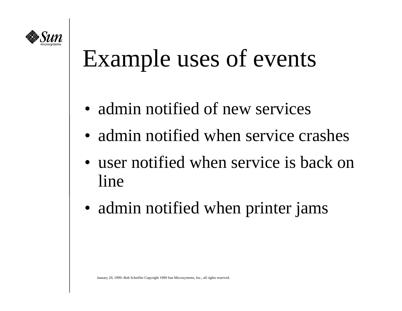

## Example uses of events

- admin notified of new services
- admin notified when service crashes
- user notified when service is back on line
- admin notified when printer jams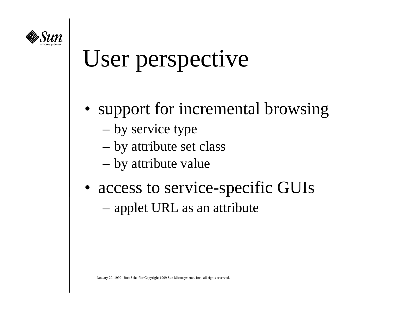

### User perspective

- support for incremental browsing
	- by service type
	- by attribute set class
	- by attribute value
- access to service-specific GUIs applet URL as an attribute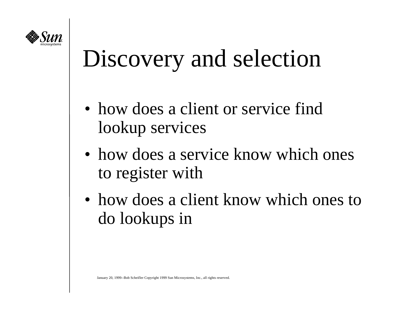

## Discovery and selection

- how does a client or service find lookup services
- how does a service know which ones to register with
- how does a client know which ones to do lookups in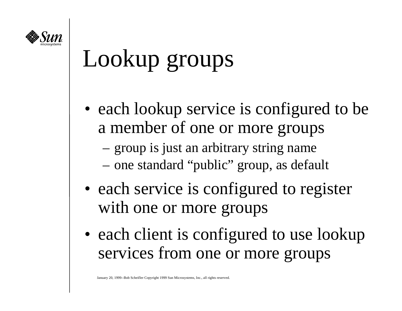

## Lookup groups

- each lookup service is configured to be a member of one or more groups
	- group is just an arbitrary string name
	- one standard "public" group, as default
- each service is configured to register with one or more groups
- each client is configured to use lookup services from one or more groups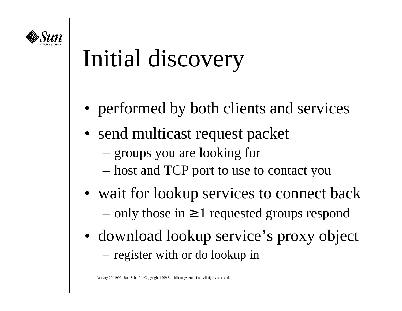

## Initial discovery

- performed by both clients and services
- send multicast request packet
	- groups you are looking for
	- host and TCP port to use to contact you
- wait for lookup services to connect back only those in  $\geq 1$  requested groups respond
- download lookup service's proxy object –register with or do lookup in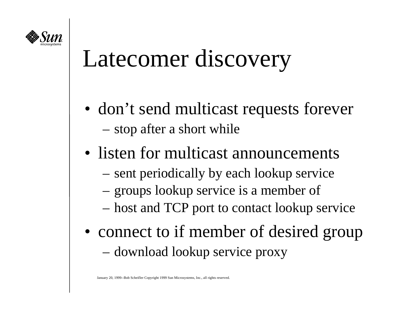

## Latecomer discovery

- don't send multicast requests forever stop after a short while
- listen for multicast announcements
	- sent periodically by each lookup service
	- groups lookup service is a member of
	- host and TCP port to contact lookup service
- connect to if member of desired group download lookup service proxy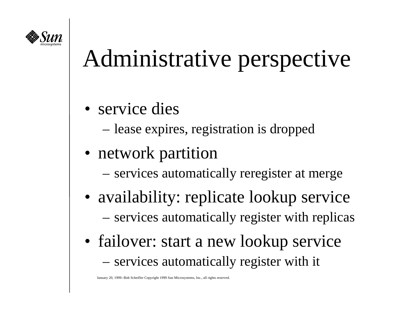

## Administrative perspective

- service dies
	- lease expires, registration is dropped
- network partition
	- services automatically reregister at merge
- availability: replicate lookup service services automatically register with replicas
- failover: start a new lookup service services automatically register with it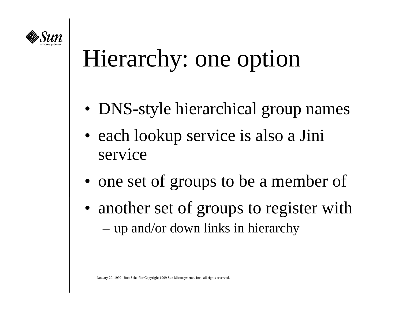

## Hierarchy: one option

- DNS-style hierarchical group names
- each lookup service is also a Jini service
- one set of groups to be a member of
- another set of groups to register with up and/or down links in hierarchy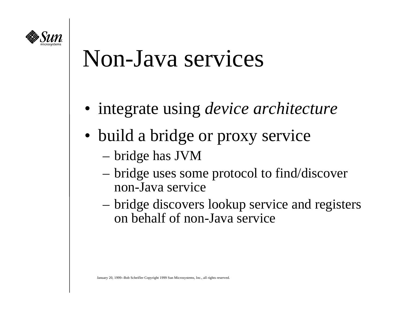

#### Non-Java services

- integrate using *device architecture*
- build a bridge or proxy service
	- bridge has JVM
	- bridge uses some protocol to find/discover non-Java service
	- bridge discovers lookup service and registers on behalf of non-Java service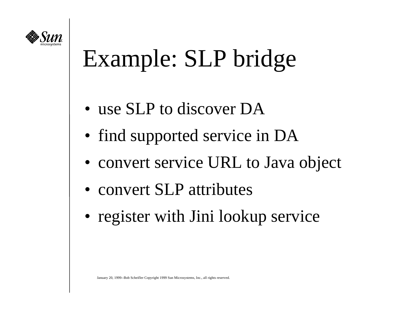

## Example: SLP bridge

- use SLP to discover DA
- find supported service in DA
- convert service URL to Java object
- convert SLP attributes
- register with Jini lookup service